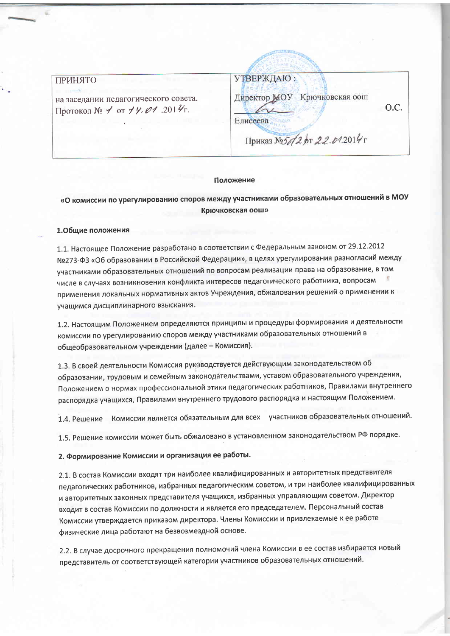## **ПРИНЯТО**

на заседании педагогического совета. Протокол № 1 от 14.01.2014 г.

УТВЕРЖДАЮ: Директор МОУ Крючковская оош O.C. Елисеева Приказ №5 /2 рт 22.01.2014

#### Положение

# «О комиссии по урегулированию споров между участниками образовательных отношений в МОУ Крючковская оош»

## 1.Общие положения

1.1. Настоящее Положение разработано в соответствии с Федеральным законом от 29.12.2012 №273-ФЗ «Об образовании в Российской Федерации», в целях урегулирования разногласий между участниками образовательных отношений по вопросам реализации права на образование, в том числе в случаях возникновения конфликта интересов педагогического работника, вопросам применения локальных нормативных актов Учреждения, обжалования решений о применении к учащимся дисциплинарного взыскания.

1.2. Настоящим Положением определяются принципы и процедуры формирования и деятельности комиссии по урегулированию споров между участниками образовательных отношений в общеобразовательном учреждении (далее - Комиссия).

1.3. В своей деятельности Комиссия рук водствуется действующим законодательством об образовании, трудовым и семейным законодательствами, уставом образовательного учреждения, Положением о нормах профессиональной этики педагогических работников, Правилами внутреннего распорядка учащихся, Правилами внутреннего трудового распорядка и настоящим Положением.

1.4. Решение Комиссии является обязательным для всех участников образовательных отношений.

1.5. Решение комиссии может быть обжаловано в установленном законодательством РФ порядке.

2. Формирование Комиссии и организация ее работы.

2.1. В состав Комиссии входят три наиболее квалифицированных и авторитетных представителя педагогических работников, избранных педагогическим советом, и три наиболее квалифицированных и авторитетных законных представителя учащихся, избранных управляющим советом. Директор входит в состав Комиссии по должности и является его председателем. Персональный состав Комиссии утверждается приказом директора. Члены Комиссии и привлекаемые к ее работе физические лица работают на безвозмездной основе.

2.2. В случае досрочного прекращения полномочий члена Комиссии в ее состав избирается новый представитель от соответствующей категории участников образовательных отношений.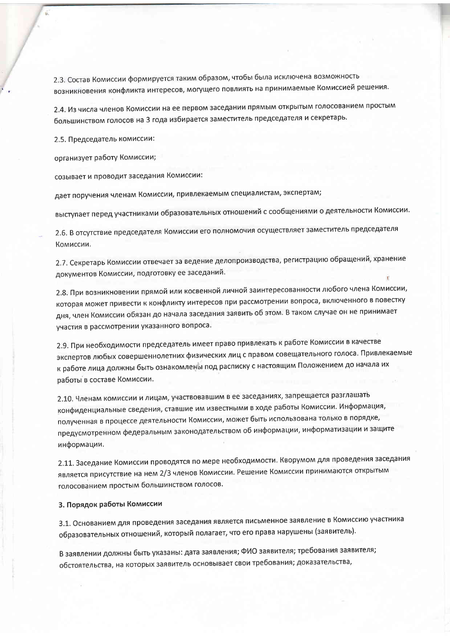2.3. Состав Комиссии формируется таким образом, чтобы была исключена возможность возникновения конфликта интересов, могущего повлиять на принимаемые Комиссией решения.

2.4. Из числа членов Комиссии на ее первом заседании прямым открытым голосованием простым большинством голосов на 3 года избирается заместитель председателя и секретарь.

2.5. Председатель комиссии:

организует работу Комиссии;

созывает и проводит заседания Комиссии:

дает поручения членам Комиссии, привлекаемым специалистам, экспертам;

выступает перед участниками образовательных отношений с сообщениями о деятельности Комиссии.

2.6. В отсутствие председателя Комиссии его полномочия осуществляет заместитель председателя Комиссии.

2.7. Секретарь Комиссии отвечает за ведение делопроизводства, регистрацию обращений, хранение документов Комиссии, подготовку ее заседаний.

2.8. При возникновении прямой или косвенной личной заинтересованности любого члена Комиссии, которая может привести к конфликту интересов при рассмотрении вопроса, включенного в повестку дня, член Комиссии обязан до начала заседания заявить об этом. В таком случае он не принимает участия в рассмотрении указанного вопроса.

2.9. При необходимости председатель имеет право привлекать к работе Комиссии в качестве экспертов любых совершеннолетних физических лиц с правом совещательного голоса. Привлекаемые к работе лица должны быть ознакомлены под расписку с настоящим Положением до начала их работы в составе Комиссии.

2.10. Членам комиссии и лицам, участвовавшим в ее заседаниях, запрещается разглашать конфиденциальные сведения, ставшие им известными в ходе работы Комиссии. Информация, полученная в процессе деятельности Комиссии, может быть использована только в порядке, предусмотренном федеральным законодательством об информации, информатизации и защите информации.

2.11. Заседание Комиссии проводятся по мере необходимости. Кворумом для проведения заседания является присутствие на нем 2/3 членов Комиссии. Решение Комиссии принимаются открытым голосованием простым большинством голосов.

### 3. Порядок работы Комиссии

3.1. Основанием для проведения заседания является письменное заявление в Комиссию участника образовательных отношений, который полагает, что его права нарушены (заявитель).

В заявлении должны быть указаны: дата заявления; ФИО заявителя; требования заявителя; обстоятельства, на которых заявитель основывает свои требования; доказательства,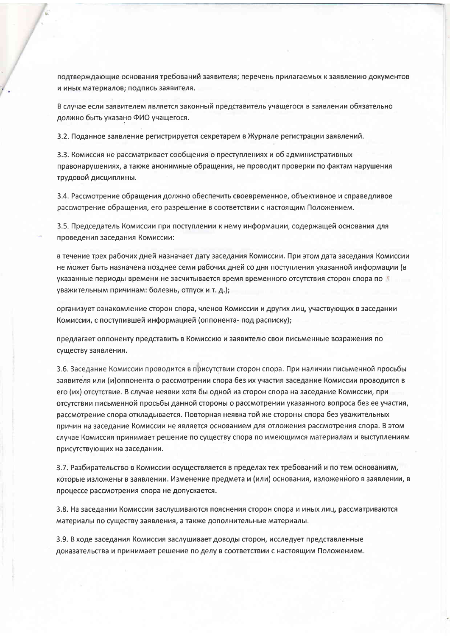подтверждающие основания требований заявителя; перечень прилагаемых к заявлению документов и иных материалов; подпись заявителя.

В случае если заявителем является законный представитель учащегося в заявлении обязательно должно быть указано ФИО учащегося.

3.2. Поданное заявление регистрируется секретарем в Журнале регистрации заявлений.

3.3. Комиссия не рассматривает сообщения о преступлениях и об административных правонарушениях, а также анонимные обращения, не проводит проверки по фактам нарушения трудовой дисциплины.

3.4. Рассмотрение обращения должно обеспечить своевременное, объективное и справедливое рассмотрение обращения, его разрешение в соответствии с настоящим Положением.

3.5. Председатель Комиссии при поступлении к нему информации, содержащей основания для проведения заседания Комиссии:

в течение трех рабочих дней назначает дату заседания Комиссии. При этом дата заседания Комиссии не может быть назначена позднее семи рабочих дней со дня поступления указанной информации (в указанные периоды времени не засчитывается время временного отсутствия сторон спора по уважительным причинам: болезнь, отпуск и т. д.);

организует ознакомление сторон спора, членов Комиссии и других лиц, участвующих в заседании Комиссии, с поступившей информацией (оппонента- под расписку);

предлагает оппоненту представить в Комиссию и заявителю свои письменные возражения по существу заявления.

3.6. Заседание Комиссии проводится в присутствии сторон спора. При наличии письменной просьбы заявителя или (и)оппонента о рассмотрении спора без их участия заседание Комиссии проводится в его (их) отсутствие. В случае неявки хотя бы одной из сторон спора на заседание Комиссии, при отсутствии письменной просьбы данной стороны о рассмотрении указанного вопроса без ее участия, рассмотрение спора откладывается. Повторная неявка той же стороны спора без уважительных причин на заседание Комиссии не является основанием для отложения рассмотрения спора. В этом случае Комиссия принимает решение по существу спора по имеющимся материалам и выступлениям присутствующих на заседании.

3.7. Разбирательство в Комиссии осуществляется в пределах тех требований и по тем основаниям, которые изложены в заявлении. Изменение предмета и (или) основания, изложенного в заявлении, в процессе рассмотрения спора не допускается.

3.8. На заседании Комиссии заслушиваются пояснения сторон спора и иных лиц, рассматриваются материалы по существу заявления, а также дополнительные материалы.

3.9. В ходе заседания Комиссия заслушивает доводы сторон, исследует представленные доказательства и принимает решение по делу в соответствии с настоящим Положением.